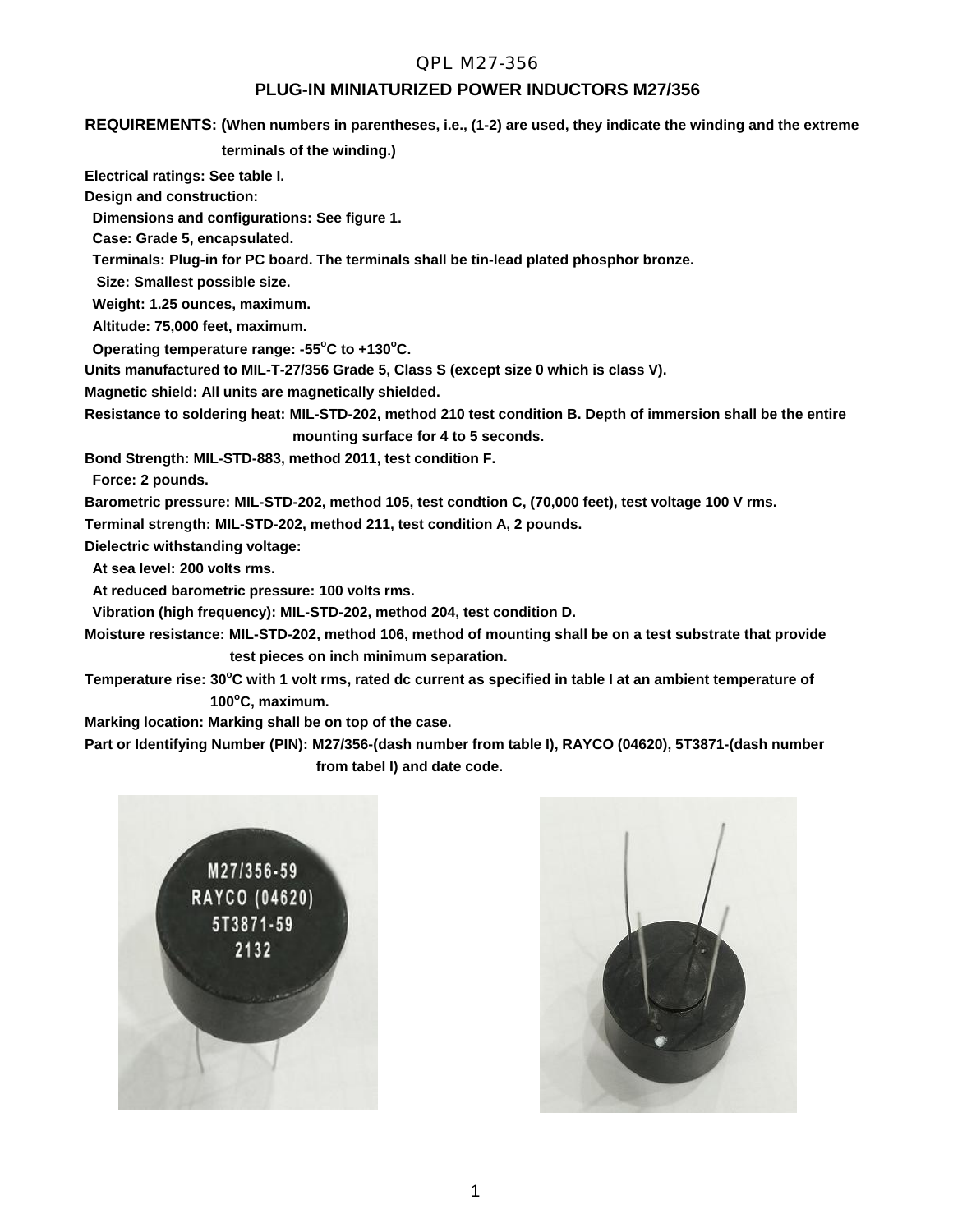## QPL M27-356

### **PLUG-IN MINIATURIZED POWER INDUCTORS M27/356**

**REQUIREMENTS: (When numbers in parentheses, i.e., (1-2) are used, they indicate the winding and the extreme**

 **terminals of the winding.)**

**Electrical ratings: See table I.**

**Design and construction:**

 **Dimensions and configurations: See figure 1.**

 **Case: Grade 5, encapsulated.**

 **Terminals: Plug-in for PC board. The terminals shall be tin-lead plated phosphor bronze.**

 **Size: Smallest possible size.**

 **Weight: 1.25 ounces, maximum.**

 **Altitude: 75,000 feet, maximum.**

 **Operating temperature range: -55<sup>o</sup>C to +130<sup>o</sup>C.**

**Units manufactured to MIL-T-27/356 Grade 5, Class S (except size 0 which is class V).**

**Magnetic shield: All units are magnetically shielded.**

**Resistance to soldering heat: MIL-STD-202, method 210 test condition B. Depth of immersion shall be the entire**

 **mounting surface for 4 to 5 seconds.**

**Bond Strength: MIL-STD-883, method 2011, test condition F.**

 **Force: 2 pounds.**

**Barometric pressure: MIL-STD-202, method 105, test condtion C, (70,000 feet), test voltage 100 V rms.**

**Terminal strength: MIL-STD-202, method 211, test condition A, 2 pounds.**

**Dielectric withstanding voltage:**

 **At sea level: 200 volts rms.**

 **At reduced barometric pressure: 100 volts rms.**

 **Vibration (high frequency): MIL-STD-202, method 204, test condition D.**

**Moisture resistance: MIL-STD-202, method 106, method of mounting shall be on a test substrate that provide test pieces on inch minimum separation.**

Temperature rise: 30°C with 1 volt rms, rated dc current as specified in table I at an ambient temperature of  **100<sup>o</sup>C, maximum.**

**Marking location: Marking shall be on top of the case.**

**Part or Identifying Number (PIN): M27/356-(dash number from table I), RAYCO (04620), 5T3871-(dash number from tabel I) and date code.**



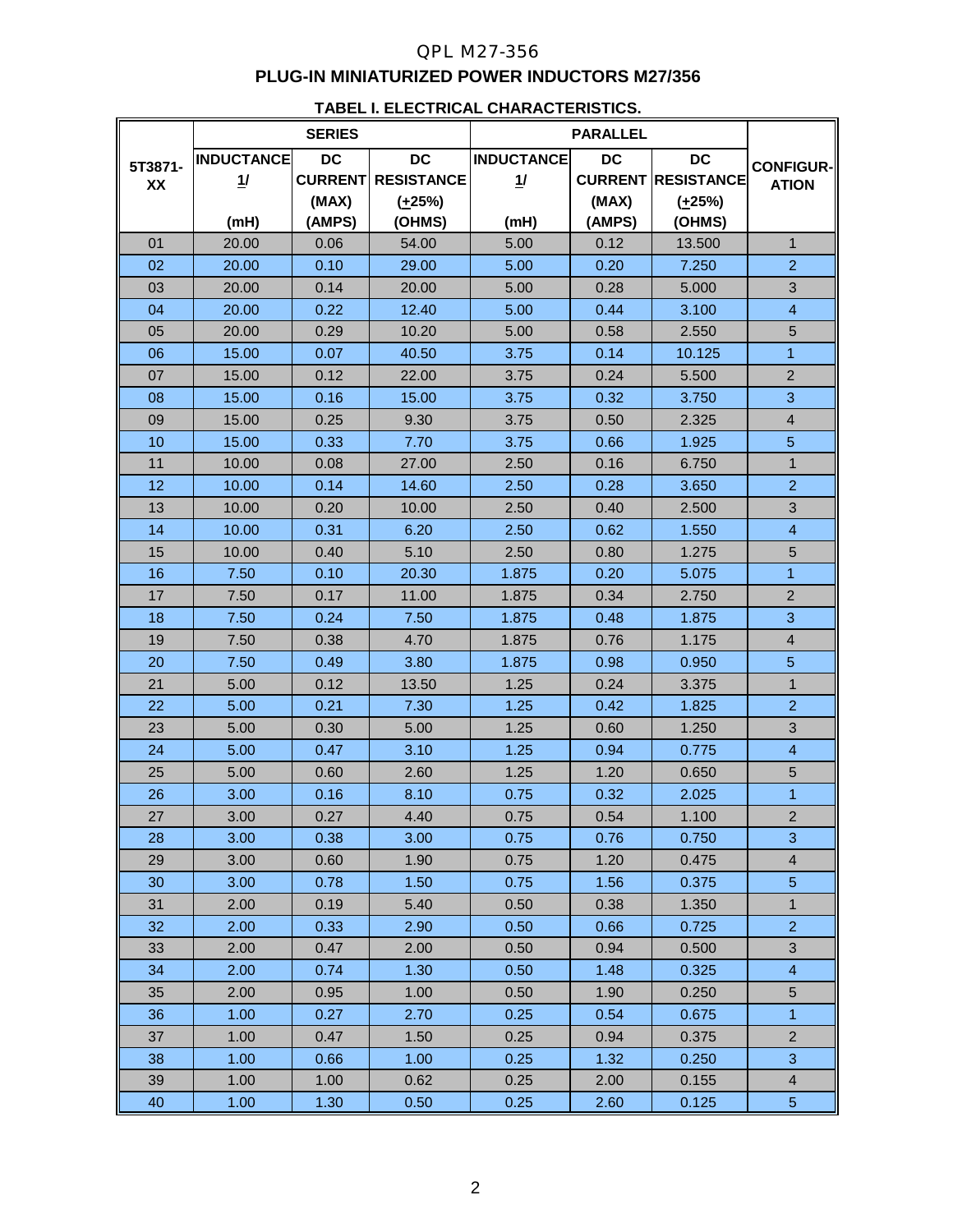# QPL M27-356 **PLUG-IN MINIATURIZED POWER INDUCTORS M27/356**

#### **TABEL I. ELECTRICAL CHARACTERISTICS.**

|               | <b>SERIES</b>           |                                      |                                               | <b>PARALLEL</b>         |                    |                                                       |                                  |
|---------------|-------------------------|--------------------------------------|-----------------------------------------------|-------------------------|--------------------|-------------------------------------------------------|----------------------------------|
| 5T3871-<br>XX | <b>INDUCTANCE</b><br>11 | <b>DC</b><br><b>CURRENT</b><br>(MAX) | <b>DC</b><br><b>RESISTANCE</b><br>$(\pm 25%)$ | <b>INDUCTANCE</b><br>1/ | <b>DC</b><br>(MAX) | <b>DC</b><br><b>CURRENT RESISTANCE</b><br>$(\pm 25%)$ | <b>CONFIGUR-</b><br><b>ATION</b> |
|               | (mH)                    | (AMPS)                               | (OHMS)                                        | (mH)                    | (AMPS)             | (OHMS)                                                |                                  |
| 01            | 20.00                   | 0.06                                 | 54.00                                         | 5.00                    | 0.12               | 13.500                                                | $\mathbf{1}$                     |
| 02            | 20.00                   | 0.10                                 | 29.00                                         | 5.00                    | 0.20               | 7.250                                                 | $\overline{2}$                   |
| 03            | 20.00                   | 0.14                                 | 20.00                                         | 5.00                    | 0.28               | 5.000                                                 | 3                                |
| 04            | 20.00                   | 0.22                                 | 12.40                                         | 5.00                    | 0.44               | 3.100                                                 | $\overline{4}$                   |
| 05            | 20.00                   | 0.29                                 | 10.20                                         | 5.00                    | 0.58               | 2.550                                                 | 5                                |
| 06            | 15.00                   | 0.07                                 | 40.50                                         | 3.75                    | 0.14               | 10.125                                                | $\mathbf{1}$                     |
| 07            | 15.00                   | 0.12                                 | 22.00                                         | 3.75                    | 0.24               | 5.500                                                 | $\overline{2}$                   |
| 08            | 15.00                   | 0.16                                 | 15.00                                         | 3.75                    | 0.32               | 3.750                                                 | 3                                |
| 09            | 15.00                   | 0.25                                 | 9.30                                          | 3.75                    | 0.50               | 2.325                                                 | $\overline{\mathbf{4}}$          |
| 10            | 15.00                   | 0.33                                 | 7.70                                          | 3.75                    | 0.66               | 1.925                                                 | 5                                |
| 11            | 10.00                   | 0.08                                 | 27.00                                         | 2.50                    | 0.16               | 6.750                                                 | $\mathbf{1}$                     |
| 12            | 10.00                   | 0.14                                 | 14.60                                         | 2.50                    | 0.28               | 3.650                                                 | $\overline{2}$                   |
| 13            | 10.00                   | 0.20                                 | 10.00                                         | 2.50                    | 0.40               | 2.500                                                 | 3                                |
| 14            | 10.00                   | 0.31                                 | 6.20                                          | 2.50                    | 0.62               | 1.550                                                 | $\overline{\mathbf{4}}$          |
| 15            | 10.00                   | 0.40                                 | 5.10                                          | 2.50                    | 0.80               | 1.275                                                 | 5                                |
| 16            | 7.50                    | 0.10                                 | 20.30                                         | 1.875                   | 0.20               | 5.075                                                 | $\overline{1}$                   |
| 17            | 7.50                    | 0.17                                 | 11.00                                         | 1.875                   | 0.34               | 2.750                                                 | $\overline{2}$                   |
| 18            | 7.50                    | 0.24                                 | 7.50                                          | 1.875                   | 0.48               | 1.875                                                 | 3                                |
| 19            | 7.50                    | 0.38                                 | 4.70                                          | 1.875                   | 0.76               | 1.175                                                 | $\overline{\mathbf{4}}$          |
| 20            | 7.50                    | 0.49                                 | 3.80                                          | 1.875                   | 0.98               | 0.950                                                 | 5                                |
| 21            | 5.00                    | 0.12                                 | 13.50                                         | 1.25                    | 0.24               | 3.375                                                 | $\mathbf{1}$                     |
| 22            | 5.00                    | 0.21                                 | 7.30                                          | 1.25                    | 0.42               | 1.825                                                 | $\overline{2}$                   |
| 23            | 5.00                    | 0.30                                 | 5.00                                          | 1.25                    | 0.60               | 1.250                                                 | 3                                |
| 24            | 5.00                    | 0.47                                 | 3.10                                          | 1.25                    | 0.94               | 0.775                                                 | $\overline{\mathcal{A}}$         |
| 25            | 5.00                    | 0.60                                 | 2.60                                          | 1.25                    | 1.20               | 0.650                                                 | 5                                |
| 26            | 3.00                    | 0.16                                 | 8.10                                          | 0.75                    | 0.32               | 2.025                                                 | 1                                |
| 27            | 3.00                    | 0.27                                 | 4.40                                          | 0.75                    | 0.54               | 1.100                                                 | $\overline{2}$                   |
| 28            | 3.00                    | 0.38                                 | 3.00                                          | 0.75                    | 0.76               | 0.750                                                 | 3                                |
| 29            | 3.00                    | 0.60                                 | 1.90                                          | 0.75                    | 1.20               | 0.475                                                 | 4                                |
| 30            | 3.00                    | 0.78                                 | 1.50                                          | 0.75                    | 1.56               | 0.375                                                 | 5                                |
| 31            | 2.00                    | 0.19                                 | 5.40                                          | 0.50                    | 0.38               | 1.350                                                 | $\mathbf{1}$                     |
| 32            | 2.00                    | 0.33                                 | 2.90                                          | 0.50                    | 0.66               | 0.725                                                 | $\overline{2}$                   |
| 33            | 2.00                    | 0.47                                 | 2.00                                          | 0.50                    | 0.94               | 0.500                                                 | 3                                |
| 34            | 2.00                    | 0.74                                 | 1.30                                          | 0.50                    | 1.48               | 0.325                                                 | $\overline{4}$                   |
| 35            | 2.00                    | 0.95                                 | 1.00                                          | 0.50                    | 1.90               | 0.250                                                 | 5                                |
| 36            | 1.00                    | 0.27                                 | 2.70                                          | 0.25                    | 0.54               | 0.675                                                 | $\overline{1}$                   |
| 37            | 1.00                    | 0.47                                 | 1.50                                          | 0.25                    | 0.94               | 0.375                                                 | $\overline{2}$                   |
| 38            | 1.00                    | 0.66                                 | 1.00                                          | 0.25                    | 1.32               | 0.250                                                 | 3                                |
| 39            | 1.00                    | 1.00                                 | 0.62                                          | 0.25                    | 2.00               | 0.155                                                 | 4                                |
| 40            | 1.00                    | 1.30                                 | 0.50                                          | 0.25                    | 2.60               | 0.125                                                 | $\sqrt{5}$                       |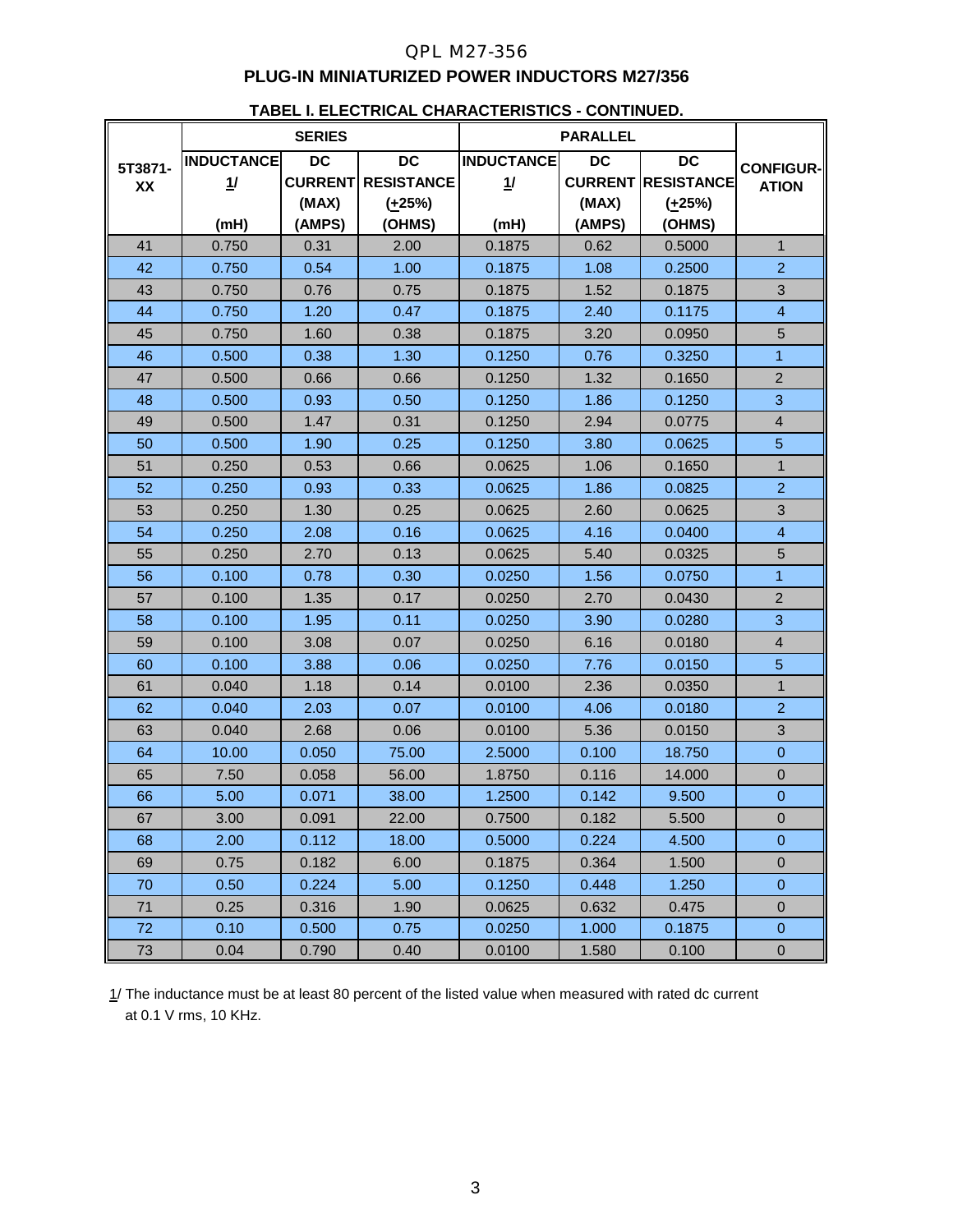# QPL M27-356 **PLUG-IN MINIATURIZED POWER INDUCTORS M27/356**

|         | <u>I ADLL II LLLVIINIVAL VIIAINAVI LINDI IVO</u><br><b>SERIES</b> |           |                           | <b>PARALLEL</b>   |           |                           |                  |
|---------|-------------------------------------------------------------------|-----------|---------------------------|-------------------|-----------|---------------------------|------------------|
| 5T3871- | <b>INDUCTANCE</b>                                                 | <b>DC</b> | DC                        | <b>INDUCTANCE</b> | <b>DC</b> | <b>DC</b>                 | <b>CONFIGUR-</b> |
| XX      | 1/                                                                |           | <b>CURRENT RESISTANCE</b> | 1/                |           | <b>CURRENT RESISTANCE</b> | <b>ATION</b>     |
|         |                                                                   | (MAX)     | $(\pm 25\%)$              |                   | (MAX)     | $(+25%)$                  |                  |
|         | (mH)                                                              | (AMPS)    | (OHMS)                    | (mH)              | (AMPS)    | (OHMS)                    |                  |
| 41      | 0.750                                                             | 0.31      | 2.00                      | 0.1875            | 0.62      | 0.5000                    | $\mathbf{1}$     |
| 42      | 0.750                                                             | 0.54      | 1.00                      | 0.1875            | 1.08      | 0.2500                    | $\overline{2}$   |
| 43      | 0.750                                                             | 0.76      | 0.75                      | 0.1875            | 1.52      | 0.1875                    | 3                |
| 44      | 0.750                                                             | 1.20      | 0.47                      | 0.1875            | 2.40      | 0.1175                    | $\overline{4}$   |
| 45      | 0.750                                                             | 1.60      | 0.38                      | 0.1875            | 3.20      | 0.0950                    | 5                |
| 46      | 0.500                                                             | 0.38      | 1.30                      | 0.1250            | 0.76      | 0.3250                    | $\overline{1}$   |
| 47      | 0.500                                                             | 0.66      | 0.66                      | 0.1250            | 1.32      | 0.1650                    | $\overline{2}$   |
| 48      | 0.500                                                             | 0.93      | 0.50                      | 0.1250            | 1.86      | 0.1250                    | 3                |
| 49      | 0.500                                                             | 1.47      | 0.31                      | 0.1250            | 2.94      | 0.0775                    | $\overline{4}$   |
| 50      | 0.500                                                             | 1.90      | 0.25                      | 0.1250            | 3.80      | 0.0625                    | $\overline{5}$   |
| 51      | 0.250                                                             | 0.53      | 0.66                      | 0.0625            | 1.06      | 0.1650                    | $\mathbf{1}$     |
| 52      | 0.250                                                             | 0.93      | 0.33                      | 0.0625            | 1.86      | 0.0825                    | $\overline{2}$   |
| 53      | 0.250                                                             | 1.30      | 0.25                      | 0.0625            | 2.60      | 0.0625                    | $\mathbf{3}$     |
| 54      | 0.250                                                             | 2.08      | 0.16                      | 0.0625            | 4.16      | 0.0400                    | $\overline{4}$   |
| 55      | 0.250                                                             | 2.70      | 0.13                      | 0.0625            | 5.40      | 0.0325                    | $\sqrt{5}$       |
| 56      | 0.100                                                             | 0.78      | 0.30                      | 0.0250            | 1.56      | 0.0750                    | $\overline{1}$   |
| 57      | 0.100                                                             | 1.35      | 0.17                      | 0.0250            | 2.70      | 0.0430                    | $\mathbf 2$      |
| 58      | 0.100                                                             | 1.95      | 0.11                      | 0.0250            | 3.90      | 0.0280                    | 3                |
| 59      | 0.100                                                             | 3.08      | 0.07                      | 0.0250            | 6.16      | 0.0180                    | $\overline{4}$   |
| 60      | 0.100                                                             | 3.88      | 0.06                      | 0.0250            | 7.76      | 0.0150                    | $\overline{5}$   |
| 61      | 0.040                                                             | 1.18      | 0.14                      | 0.0100            | 2.36      | 0.0350                    | $\mathbf{1}$     |
| 62      | 0.040                                                             | 2.03      | 0.07                      | 0.0100            | 4.06      | 0.0180                    | $\overline{2}$   |
| 63      | 0.040                                                             | 2.68      | 0.06                      | 0.0100            | 5.36      | 0.0150                    | $\sqrt{3}$       |
| 64      | 10.00                                                             | 0.050     | 75.00                     | 2.5000            | 0.100     | 18.750                    | $\pmb{0}$        |
| 65      | 7.50                                                              | 0.058     | 56.00                     | 1.8750            | 0.116     | 14.000                    | $\overline{0}$   |
| 66      | 5.00                                                              | 0.071     | 38.00                     | 1.2500            | 0.142     | 9.500                     | $\pmb{0}$        |
| 67      | 3.00                                                              | 0.091     | 22.00                     | 0.7500            | 0.182     | 5.500                     | $\boldsymbol{0}$ |
| 68      | 2.00                                                              | 0.112     | 18.00                     | 0.5000            | 0.224     | 4.500                     | $\pmb{0}$        |
| 69      | 0.75                                                              | 0.182     | 6.00                      | 0.1875            | 0.364     | 1.500                     | $\mathbf 0$      |
| 70      | 0.50                                                              | 0.224     | 5.00                      | 0.1250            | 0.448     | 1.250                     | $\pmb{0}$        |
| 71      | 0.25                                                              | 0.316     | 1.90                      | 0.0625            | 0.632     | 0.475                     | $\mathbf 0$      |
| 72      | 0.10                                                              | 0.500     | 0.75                      | 0.0250            | 1.000     | 0.1875                    | $\pmb{0}$        |
| 73      | 0.04                                                              | 0.790     | 0.40                      | 0.0100            | 1.580     | 0.100                     | $\pmb{0}$        |

# **TABEL I. ELECTRICAL CHARACTERISTICS - CONTINUED.**

1/ The inductance must be at least 80 percent of the listed value when measured with rated dc current at 0.1 V rms, 10 KHz.